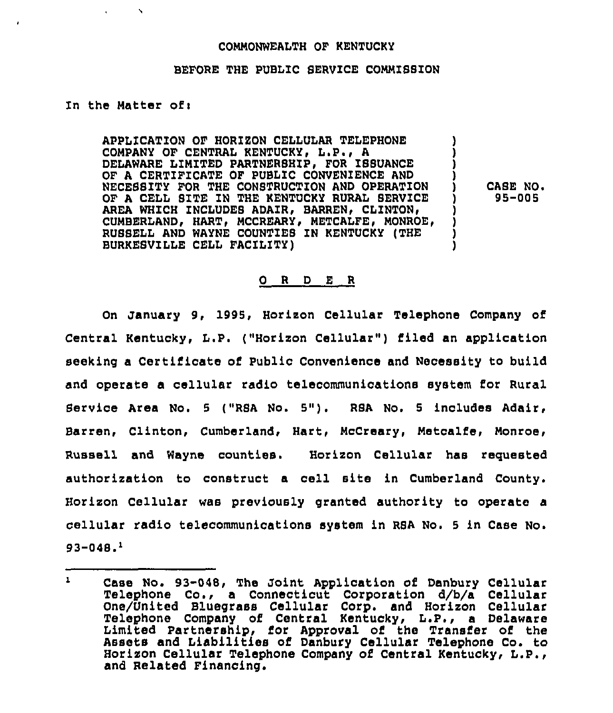## COMMONWEALTH OF KENTUCKY

## BEFORE THE PUBLIC SERVICE COMMISSION

## In the Matter ofi

 $\lambda$ 

APPLICATION OF HORIZON CELLULAR TELEPHONE COMPANY OF CENTRAL KENTUCKY, L.P., A DELAWARE LIMITED PARTNERSHIP, FOR ISSUANCE OF A CERTIFICATE OF PUBLIC CONVENIENCE AND NECESSITY FOR THE CONSTRUCTION AND OPERATION OF A CELL SITE IN THE KENTUCKY RURAL SERVICE AREA WHICH INCLUDES ADAIR, BARREN, CLINTON, CUMBERLAND, HART, MCCREARY, METCALFE, MONROE, RUSSELL AND WAYNE COUNTIES IN KENTUCKY (THE BURKESVILLE CELL FACILITY)

) CASE NO <sup>~</sup> ) 95-005

) ) ) )

> ) ) ) )

## 0 <sup>R</sup> <sup>D</sup> <sup>E</sup> <sup>R</sup>

On January 9, 1995, Horizon Cellular Telephone Company of Central Kentucky, L.P. ("Horizon Cellular") filed an application seeking a Certificate of Public Convenience and Necessity to build and operate a cellular radio telecommunications system for Rural Service Area No. 5 ("RSA No. 5"). RSA No. 5 includes Adair, Barren, Clinton, Cumberland, Hart, McCreary, Metcalfe, Monroe Russell and Wayne counties. Horizon Cellular has requeste authorization to construct a cell site in Cumberland County. Horizon Cellular was previously granted authority to operate a cellular radio telecommunications system in RSA No. <sup>5</sup> in Case No.  $93 - 048.<sup>1</sup>$ 

 $\mathbf{1}$ Case No. 93-048, The Joint Application of Danbury Cellular Telephone Co., a Connecticut Corporation d/b/a Cellula One/United Bluegrass Cellular Corp. and Horizon Cellula Telephone Company of Central Kentucky, L.P., <sup>a</sup> Delaware Limited Partnership, for Approval of the Transfer of the Assets and Liabilities of Danbury Cellular Telephone Co. to Horizon Cellular Telephone Company of Central Kentucky, L.P., and Related Financing.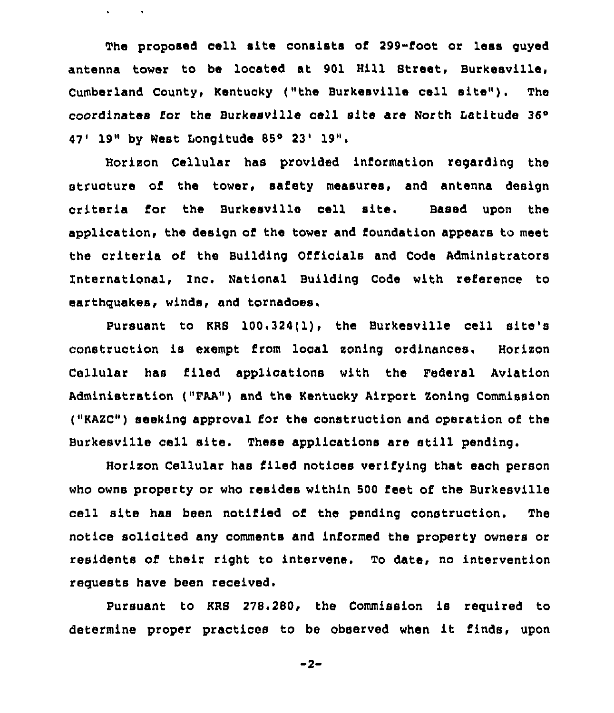The proposed cell site consists of 299-foot or less guyed antenna tower to be located at 901 Hill Street, Burkesville, Cumberland County, Kentucky ("the Burkesville cell site"). The coordinates for the Burkesville cell site are North Latitude 36° 47' 19" by West Longitude 85° 23' 19".

 $\mathbf{v} = \mathbf{v} \times \mathbf{v}$  . The  $\mathbf{v}$ 

Horizon Cellular has provided information regarding the structure of the tower, safety measures, and antenna design criteria for the Burkesville cell site. Based upon the application, the design of the tower and foundation appears to meet the criteria of the Building Officials and Code Administrators International, Inc. National Building Code with reference to earthquakes, winds, and tornadoes.

Pursuant to KRS 100.324(1), the Burkesville cell site's construction is exempt from local soning ordinances. Horixon Cellular has filed applications with the Federal Aviation Administration ("FAA") and the Kentucky Airport Zoning Commission ("KAZC") seeking approval for the construction and operation of the Burkesville cell site. These applications are still pending.

Horixon Cellular has filed notices verifying that each person who owns property or who resides within 500 Eeet of the Burkesville cell site has been notified of the pending construction. The notice solicited any comments and informed the property owners or residents of their right to intervene. To date, no intervention requests have been received.

Pursuant to KRS 278.280, the Commission is required to determine proper practices to be observed when it finds, upon

 $-2-$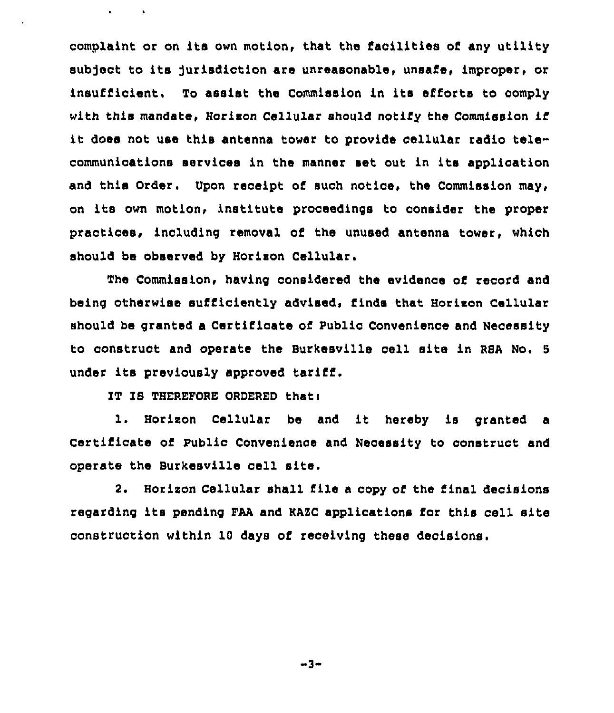complaint or on its own motion, that the facilities of any utility subject to its jurisdiction are unreasonable, unsafe, improper, or insufficient, To assist the Commission in its efforts to comply with this mandate, Hcrison Cellular should notify the Commission if it does not use this antenna tower to provide cellular radio telecommunications services in the manner set out in its application and this Order. Upon receipt of such notice, the Commission may, on its own motion< institute proceedings to consider the proper practices, including removal of the unused antenna tower, which should be observed by Horison Cellular.

The Commission, having considered the evidence of record and being otherwise sufficiently advised, finds that Horison Cellular should be granted a Certificate of Public Convenience and Necessity to construct and operate the Burkesville cell site in RBA No. <sup>5</sup> under its previously approved tariff.

IT IB THEREFORE ORDERED thati

 $\mathbf{a}^{\dagger}$  and  $\mathbf{a}^{\dagger}$  and  $\mathbf{a}^{\dagger}$ 

1. Horison Cellular be and it hereby is granted <sup>a</sup> Certificate of Public Convenience and Necessity to construct and operate the Burkesville cell site.

2. Horizon Cellular shall file a copy of the final decisions regarding its pending FAA and KABC applications for this ceil site construction within 10 days of receiving these decisions.

-3-